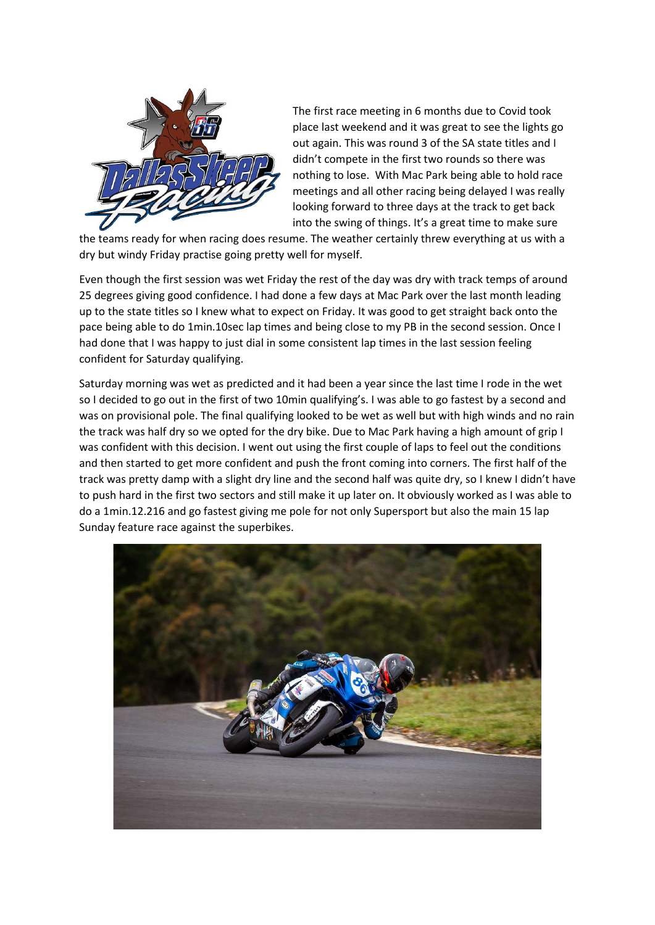

The first race meeting in 6 months due to Covid took place last weekend and it was great to see the lights go out again. This was round 3 of the SA state titles and I didn't compete in the first two rounds so there was nothing to lose. With Mac Park being able to hold race meetings and all other racing being delayed I was really looking forward to three days at the track to get back into the swing of things. It's a great time to make sure

the teams ready for when racing does resume. The weather certainly threw everything at us with a dry but windy Friday practise going pretty well for myself.

Even though the first session was wet Friday the rest of the day was dry with track temps of around 25 degrees giving good confidence. I had done a few days at Mac Park over the last month leading up to the state titles so I knew what to expect on Friday. It was good to get straight back onto the pace being able to do 1min.10sec lap times and being close to my PB in the second session. Once I had done that I was happy to just dial in some consistent lap times in the last session feeling confident for Saturday qualifying.

Saturday morning was wet as predicted and it had been a year since the last time I rode in the wet so I decided to go out in the first of two 10min qualifying's. I was able to go fastest by a second and was on provisional pole. The final qualifying looked to be wet as well but with high winds and no rain the track was half dry so we opted for the dry bike. Due to Mac Park having a high amount of grip I was confident with this decision. I went out using the first couple of laps to feel out the conditions and then started to get more confident and push the front coming into corners. The first half of the track was pretty damp with a slight dry line and the second half was quite dry, so I knew I didn't have to push hard in the first two sectors and still make it up later on. It obviously worked as I was able to do a 1min.12.216 and go fastest giving me pole for not only Supersport but also the main 15 lap Sunday feature race against the superbikes.

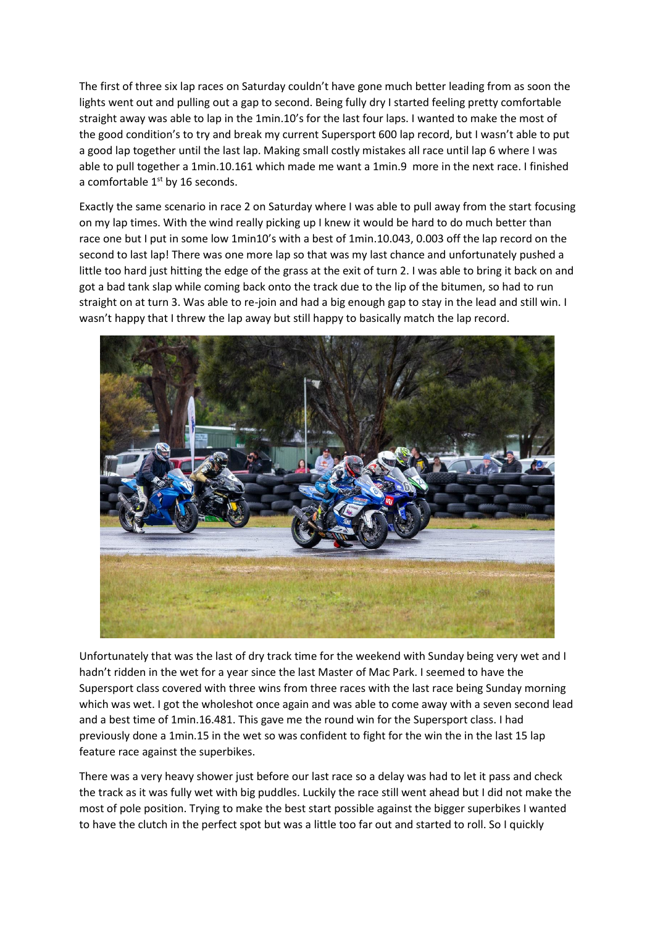The first of three six lap races on Saturday couldn't have gone much better leading from as soon the lights went out and pulling out a gap to second. Being fully dry I started feeling pretty comfortable straight away was able to lap in the 1min.10's for the last four laps. I wanted to make the most of the good condition's to try and break my current Supersport 600 lap record, but I wasn't able to put a good lap together until the last lap. Making small costly mistakes all race until lap 6 where I was able to pull together a 1min.10.161 which made me want a 1min.9 more in the next race. I finished a comfortable  $1<sup>st</sup>$  by 16 seconds.

Exactly the same scenario in race 2 on Saturday where I was able to pull away from the start focusing on my lap times. With the wind really picking up I knew it would be hard to do much better than race one but I put in some low 1min10's with a best of 1min.10.043, 0.003 off the lap record on the second to last lap! There was one more lap so that was my last chance and unfortunately pushed a little too hard just hitting the edge of the grass at the exit of turn 2. I was able to bring it back on and got a bad tank slap while coming back onto the track due to the lip of the bitumen, so had to run straight on at turn 3. Was able to re-join and had a big enough gap to stay in the lead and still win. I wasn't happy that I threw the lap away but still happy to basically match the lap record.



Unfortunately that was the last of dry track time for the weekend with Sunday being very wet and I hadn't ridden in the wet for a year since the last Master of Mac Park. I seemed to have the Supersport class covered with three wins from three races with the last race being Sunday morning which was wet. I got the wholeshot once again and was able to come away with a seven second lead and a best time of 1min.16.481. This gave me the round win for the Supersport class. I had previously done a 1min.15 in the wet so was confident to fight for the win the in the last 15 lap feature race against the superbikes.

There was a very heavy shower just before our last race so a delay was had to let it pass and check the track as it was fully wet with big puddles. Luckily the race still went ahead but I did not make the most of pole position. Trying to make the best start possible against the bigger superbikes I wanted to have the clutch in the perfect spot but was a little too far out and started to roll. So I quickly